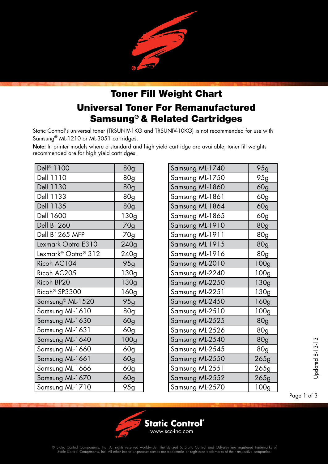

## Toner Fill Weight Chart Universal Toner For Remanufactured Samsung® & Related Cartridges

Static Control's universal toner (TRSUNIV-1KG and TRSUNIV-10KG) is not recommended for use with Samsung® ML-1210 or ML-3051 cartridges.

Note: In printer models where a standard and high yield cartridge are available, toner fill weights recommended are for high yield cartridges.

| Dell <sup>®</sup> 1100          | 80g  |
|---------------------------------|------|
| Dell 1110                       | 80g  |
| <b>Dell 1130</b>                | 80g  |
| Dell 1133                       | 80g  |
| Dell 1135                       | 80g  |
| Dell 1600                       | 130g |
| <b>Dell B1260</b>               | 70g  |
| Dell B1265 MFP                  | 70g  |
| Lexmark Optra E310              | 240g |
| Lexmark <sup>®</sup> Optra® 312 | 240g |
| Ricoh AC104                     | 95g  |
| Ricoh AC205                     | 130g |
| Ricoh BP20                      | 130g |
| Ricoh <sup>®</sup> SP3300       | 160g |
| Samsung <sup>®</sup> ML-1520    | 95g  |
| Samsung ML-1610                 | 80g  |
| Samsung ML-1630                 | 60g  |
| Samsung ML-1631                 | 60g  |
| Samsung ML-1640                 | 100g |
| Samsung ML-1660                 | 60g  |
| Samsung ML-1661                 | 60g  |
| Samsung ML-1666                 | 60g  |
| Samsung ML-1670                 | 60g  |
| Samsung ML-1710                 | 95g  |

| Samsung ML-1740 | 95g             |
|-----------------|-----------------|
| Samsung ML-1750 | 95g             |
| Samsung ML-1860 | 60g             |
| Samsung ML-1861 | 60g             |
| Samsung ML-1864 | 60 <sub>g</sub> |
| Samsung ML-1865 | 60g             |
| Samsung ML-1910 | 80g             |
| Samsung ML-1911 | 80g             |
| Samsung ML-1915 | 80g             |
| Samsung ML-1916 | 80g             |
| Samsung ML-2010 | 100g            |
| Samsung ML-2240 | 100g            |
| Samsung ML-2250 | 130g            |
| Samsung ML-2251 | 130g            |
| Samsung ML-2450 | 160g            |
| Samsung ML-2510 | 100g            |
| Samsung ML-2525 | <b>80g</b>      |
| Samsung ML-2526 | 80g             |
| Samsung ML-2540 | 80 <sub>g</sub> |
| Samsung ML-2545 | 80g             |
| Samsung ML-2550 | 265g            |
| Samsung ML-2551 | 265g            |
| Samsung ML-2552 | 265g            |
| Samsung ML-2570 | 100g            |

 $\begin{array}{r} \n 1.313 \\
\hline\n 1.313\n \end{array}$ <br>Page 1 of 3

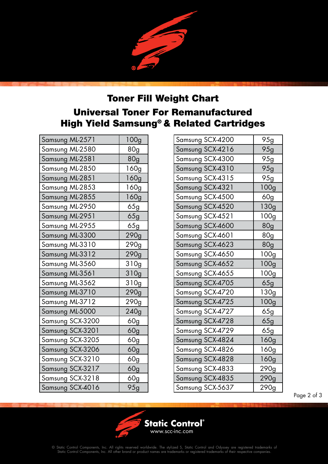## Toner Fill Weight Chart Universal Toner For Remanufactured High Yield Samsung® & Related Cartridges

| Samsung ML-2571  | 100g            |
|------------------|-----------------|
| Samsung ML-2580  | 80 <sub>g</sub> |
| Samsung ML-2581  | 80g             |
| Samsung ML-2850  | 160g            |
| Samsung ML-2851  | 160g            |
| Samsung ML-2853  | 160g            |
| Samsung ML-2855  | 160g            |
| Samsung ML-2950  | 65g             |
| Samsung ML-2951  | 65g             |
| Samsung ML-2955  | 65g             |
| Samsung ML-3300  | 290g            |
| Samsung ML-3310  | 290g            |
| Samsung ML-3312  | 290g            |
| Samsung ML-3560  | 310g            |
| Samsung ML-3561  | 310g            |
| Samsung ML-3562  | 310g            |
| Samsung ML-3710  | 290g            |
| Samsung ML-3712  | 290g            |
| Samsung ML-5000  | 240g            |
| Samsung SCX-3200 | 60g             |
| Samsung SCX-3201 | 60g             |
| Samsung SCX-3205 | 60g             |
| Samsung SCX-3206 | 60g             |
| Samsung SCX-3210 | 60g             |
| Samsung SCX-3217 | 60g             |
| Samsung SCX-3218 | 60g             |
| Samsung SCX-4016 | 95g             |

| Samsung SCX-4200 | 95g              |
|------------------|------------------|
| Samsung SCX-4216 | 95g              |
| Samsung SCX-4300 | 95g              |
| Samsung SCX-4310 | 95g              |
| Samsung SCX-4315 | 95g              |
| Samsung SCX-4321 | 100 <sub>g</sub> |
| Samsung SCX-4500 | 60g              |
| Samsung SCX-4520 | 130g             |
| Samsung SCX-4521 | 100g             |
| Samsung SCX-4600 | 80 <sub>g</sub>  |
| Samsung SCX-4601 | 80g              |
| Samsung SCX-4623 | 80 <sub>g</sub>  |
| Samsung SCX-4650 | 100 <sub>g</sub> |
| Samsung SCX-4652 | 100g             |
| Samsung SCX-4655 | 100 <sub>g</sub> |
| Samsung SCX-4705 | 65g              |
| Samsung SCX-4720 | 130g             |
| Samsung SCX-4725 | 100g             |
| Samsung SCX-4727 | 65g              |
| Samsung SCX-4728 | 65g              |
| Samsung SCX-4729 | 65g              |
| Samsung SCX-4824 | 160g             |
| Samsung SCX-4826 | 160g             |
| Samsung SCX-4828 | 160g             |
| Samsung SCX-4833 | 290g             |
| Samsung SCX-4835 | 290g             |
| Samsung SCX-5637 | 290g             |

Page 2 of 3